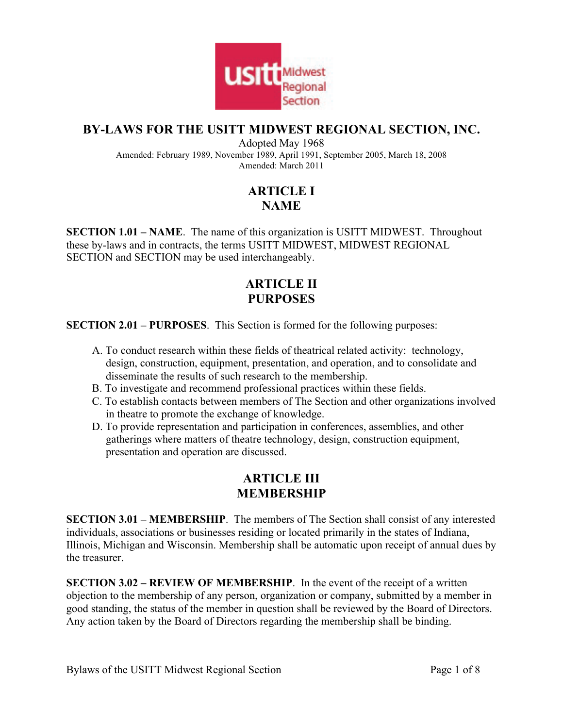

## **BY-LAWS FOR THE USITT MIDWEST REGIONAL SECTION, INC.**

Adopted May 1968 Amended: February 1989, November 1989, April 1991, September 2005, March 18, 2008 Amended: March 2011

# **ARTICLE I NAME**

**SECTION 1.01 – NAME**. The name of this organization is USITT MIDWEST. Throughout these by-laws and in contracts, the terms USITT MIDWEST, MIDWEST REGIONAL SECTION and SECTION may be used interchangeably.

# **ARTICLE II PURPOSES**

**SECTION 2.01 – PURPOSES**. This Section is formed for the following purposes:

- A. To conduct research within these fields of theatrical related activity: technology, design, construction, equipment, presentation, and operation, and to consolidate and disseminate the results of such research to the membership.
- B. To investigate and recommend professional practices within these fields.
- C. To establish contacts between members of The Section and other organizations involved in theatre to promote the exchange of knowledge.
- D. To provide representation and participation in conferences, assemblies, and other gatherings where matters of theatre technology, design, construction equipment, presentation and operation are discussed.

## **ARTICLE III MEMBERSHIP**

**SECTION 3.01 – MEMBERSHIP**. The members of The Section shall consist of any interested individuals, associations or businesses residing or located primarily in the states of Indiana, Illinois, Michigan and Wisconsin. Membership shall be automatic upon receipt of annual dues by the treasurer.

**SECTION 3.02 – REVIEW OF MEMBERSHIP**. In the event of the receipt of a written objection to the membership of any person, organization or company, submitted by a member in good standing, the status of the member in question shall be reviewed by the Board of Directors. Any action taken by the Board of Directors regarding the membership shall be binding.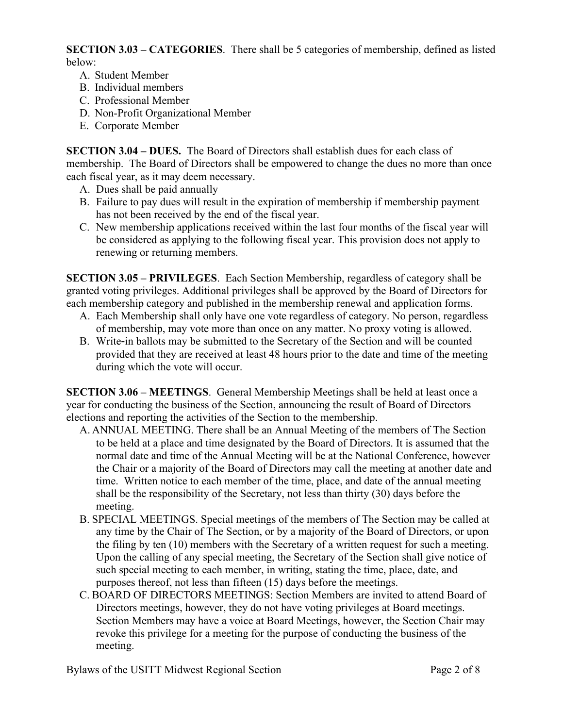**SECTION 3.03 – CATEGORIES**. There shall be 5 categories of membership, defined as listed below:

- A. Student Member
- B. Individual members
- C. Professional Member
- D. Non-Profit Organizational Member
- E. Corporate Member

**SECTION 3.04 – DUES.** The Board of Directors shall establish dues for each class of membership. The Board of Directors shall be empowered to change the dues no more than once each fiscal year, as it may deem necessary.

- A. Dues shall be paid annually
- B. Failure to pay dues will result in the expiration of membership if membership payment has not been received by the end of the fiscal year.
- C. New membership applications received within the last four months of the fiscal year will be considered as applying to the following fiscal year. This provision does not apply to renewing or returning members.

**SECTION 3.05 – PRIVILEGES**.Each Section Membership, regardless of category shall be granted voting privileges. Additional privileges shall be approved by the Board of Directors for each membership category and published in the membership renewal and application forms.

- A. Each Membership shall only have one vote regardless of category. No person, regardless of membership, may vote more than once on any matter. No proxy voting is allowed.
- B. Write-in ballots may be submitted to the Secretary of the Section and will be counted provided that they are received at least 48 hours prior to the date and time of the meeting during which the vote will occur.

**SECTION 3.06 – MEETINGS**. General Membership Meetings shall be held at least once a year for conducting the business of the Section, announcing the result of Board of Directors elections and reporting the activities of the Section to the membership.

- A. ANNUAL MEETING. There shall be an Annual Meeting of the members of The Section to be held at a place and time designated by the Board of Directors. It is assumed that the normal date and time of the Annual Meeting will be at the National Conference, however the Chair or a majority of the Board of Directors may call the meeting at another date and time. Written notice to each member of the time, place, and date of the annual meeting shall be the responsibility of the Secretary, not less than thirty (30) days before the meeting.
- B. SPECIAL MEETINGS. Special meetings of the members of The Section may be called at any time by the Chair of The Section, or by a majority of the Board of Directors, or upon the filing by ten (10) members with the Secretary of a written request for such a meeting. Upon the calling of any special meeting, the Secretary of the Section shall give notice of such special meeting to each member, in writing, stating the time, place, date, and purposes thereof, not less than fifteen (15) days before the meetings.
- C. BOARD OF DIRECTORS MEETINGS: Section Members are invited to attend Board of Directors meetings, however, they do not have voting privileges at Board meetings. Section Members may have a voice at Board Meetings, however, the Section Chair may revoke this privilege for a meeting for the purpose of conducting the business of the meeting.

Bylaws of the USITT Midwest Regional Section Page 2 of 8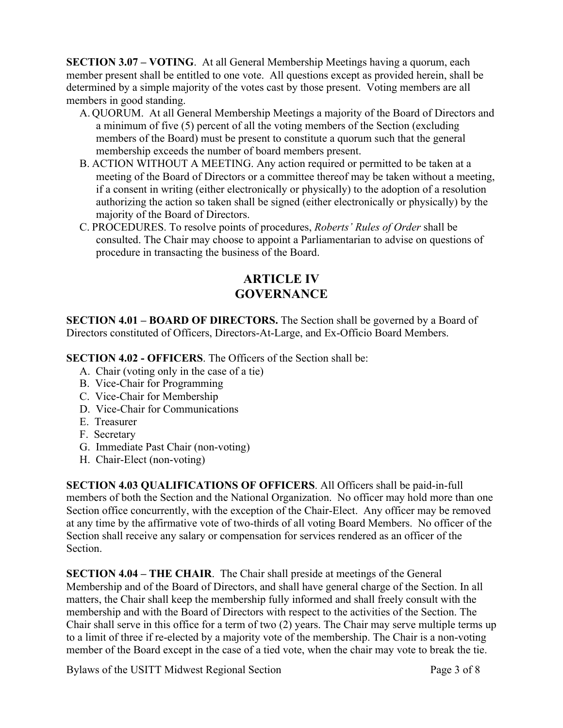**SECTION 3.07 – VOTING**. At all General Membership Meetings having a quorum, each member present shall be entitled to one vote. All questions except as provided herein, shall be determined by a simple majority of the votes cast by those present. Voting members are all members in good standing.

- A. QUORUM. At all General Membership Meetings a majority of the Board of Directors and a minimum of five (5) percent of all the voting members of the Section (excluding members of the Board) must be present to constitute a quorum such that the general membership exceeds the number of board members present.
- B. ACTION WITHOUT A MEETING. Any action required or permitted to be taken at a meeting of the Board of Directors or a committee thereof may be taken without a meeting, if a consent in writing (either electronically or physically) to the adoption of a resolution authorizing the action so taken shall be signed (either electronically or physically) by the majority of the Board of Directors.
- C. PROCEDURES. To resolve points of procedures, *Roberts' Rules of Order* shall be consulted. The Chair may choose to appoint a Parliamentarian to advise on questions of procedure in transacting the business of the Board.

## **ARTICLE IV GOVERNANCE**

**SECTION 4.01 – BOARD OF DIRECTORS.** The Section shall be governed by a Board of Directors constituted of Officers, Directors-At-Large, and Ex-Officio Board Members.

**SECTION 4.02 - OFFICERS**. The Officers of the Section shall be:

- A. Chair (voting only in the case of a tie)
- B. Vice-Chair for Programming
- C. Vice-Chair for Membership
- D. Vice-Chair for Communications
- E. Treasurer
- F. Secretary
- G. Immediate Past Chair (non-voting)
- H. Chair-Elect (non-voting)

**SECTION 4.03 QUALIFICATIONS OF OFFICERS**. All Officers shall be paid-in-full members of both the Section and the National Organization. No officer may hold more than one Section office concurrently, with the exception of the Chair-Elect. Any officer may be removed at any time by the affirmative vote of two-thirds of all voting Board Members. No officer of the Section shall receive any salary or compensation for services rendered as an officer of the **Section** 

**SECTION 4.04 – THE CHAIR**. The Chair shall preside at meetings of the General Membership and of the Board of Directors, and shall have general charge of the Section. In all matters, the Chair shall keep the membership fully informed and shall freely consult with the membership and with the Board of Directors with respect to the activities of the Section. The Chair shall serve in this office for a term of two (2) years. The Chair may serve multiple terms up to a limit of three if re-elected by a majority vote of the membership. The Chair is a non-voting member of the Board except in the case of a tied vote, when the chair may vote to break the tie.

Bylaws of the USITT Midwest Regional Section Page 3 of 8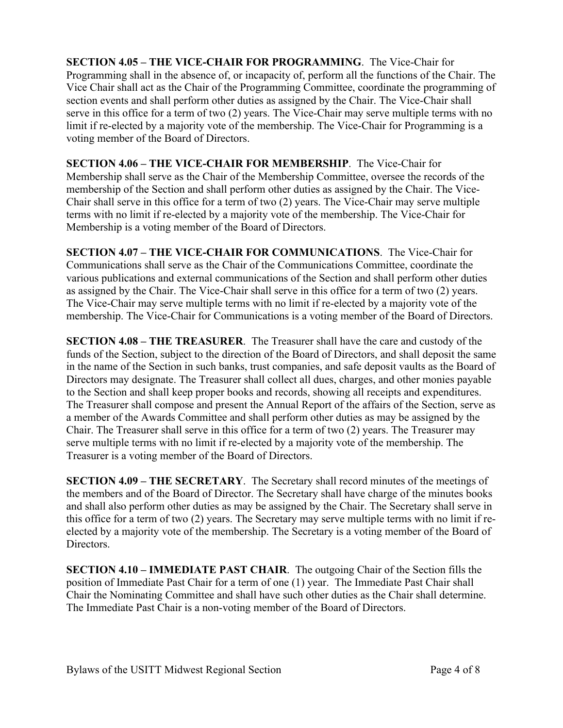**SECTION 4.05 – THE VICE-CHAIR FOR PROGRAMMING**. The Vice-Chair for Programming shall in the absence of, or incapacity of, perform all the functions of the Chair. The Vice Chair shall act as the Chair of the Programming Committee, coordinate the programming of section events and shall perform other duties as assigned by the Chair. The Vice-Chair shall serve in this office for a term of two (2) years. The Vice-Chair may serve multiple terms with no limit if re-elected by a majority vote of the membership. The Vice-Chair for Programming is a voting member of the Board of Directors.

**SECTION 4.06 – THE VICE-CHAIR FOR MEMBERSHIP**. The Vice-Chair for Membership shall serve as the Chair of the Membership Committee, oversee the records of the membership of the Section and shall perform other duties as assigned by the Chair. The Vice-Chair shall serve in this office for a term of two (2) years. The Vice-Chair may serve multiple terms with no limit if re-elected by a majority vote of the membership. The Vice-Chair for Membership is a voting member of the Board of Directors.

**SECTION 4.07 – THE VICE-CHAIR FOR COMMUNICATIONS**. The Vice-Chair for Communications shall serve as the Chair of the Communications Committee, coordinate the various publications and external communications of the Section and shall perform other duties as assigned by the Chair. The Vice-Chair shall serve in this office for a term of two (2) years. The Vice-Chair may serve multiple terms with no limit if re-elected by a majority vote of the membership. The Vice-Chair for Communications is a voting member of the Board of Directors.

**SECTION 4.08 – THE TREASURER**. The Treasurer shall have the care and custody of the funds of the Section, subject to the direction of the Board of Directors, and shall deposit the same in the name of the Section in such banks, trust companies, and safe deposit vaults as the Board of Directors may designate. The Treasurer shall collect all dues, charges, and other monies payable to the Section and shall keep proper books and records, showing all receipts and expenditures. The Treasurer shall compose and present the Annual Report of the affairs of the Section, serve as a member of the Awards Committee and shall perform other duties as may be assigned by the Chair. The Treasurer shall serve in this office for a term of two (2) years. The Treasurer may serve multiple terms with no limit if re-elected by a majority vote of the membership. The Treasurer is a voting member of the Board of Directors.

**SECTION 4.09 – THE SECRETARY**. The Secretary shall record minutes of the meetings of the members and of the Board of Director. The Secretary shall have charge of the minutes books and shall also perform other duties as may be assigned by the Chair. The Secretary shall serve in this office for a term of two (2) years. The Secretary may serve multiple terms with no limit if reelected by a majority vote of the membership. The Secretary is a voting member of the Board of Directors.

**SECTION 4.10 – IMMEDIATE PAST CHAIR**. The outgoing Chair of the Section fills the position of Immediate Past Chair for a term of one (1) year. The Immediate Past Chair shall Chair the Nominating Committee and shall have such other duties as the Chair shall determine. The Immediate Past Chair is a non-voting member of the Board of Directors.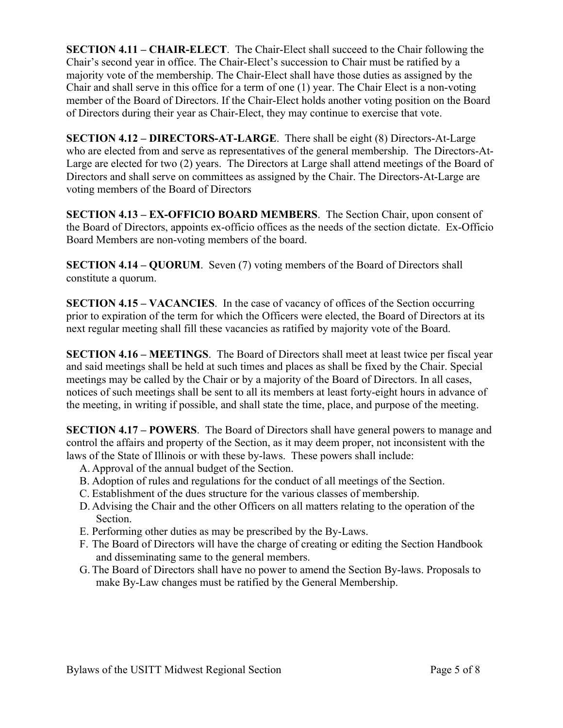**SECTION 4.11 – CHAIR-ELECT**. The Chair-Elect shall succeed to the Chair following the Chair's second year in office. The Chair-Elect's succession to Chair must be ratified by a majority vote of the membership. The Chair-Elect shall have those duties as assigned by the Chair and shall serve in this office for a term of one (1) year. The Chair Elect is a non-voting member of the Board of Directors. If the Chair-Elect holds another voting position on the Board of Directors during their year as Chair-Elect, they may continue to exercise that vote.

**SECTION 4.12 – DIRECTORS-AT-LARGE**. There shall be eight (8) Directors-At-Large who are elected from and serve as representatives of the general membership. The Directors-At-Large are elected for two (2) years. The Directors at Large shall attend meetings of the Board of Directors and shall serve on committees as assigned by the Chair. The Directors-At-Large are voting members of the Board of Directors

**SECTION 4.13 – EX-OFFICIO BOARD MEMBERS**. The Section Chair, upon consent of the Board of Directors, appoints ex-officio offices as the needs of the section dictate. Ex-Officio Board Members are non-voting members of the board.

**SECTION 4.14 – QUORUM.** Seven (7) voting members of the Board of Directors shall constitute a quorum.

**SECTION 4.15 – VACANCIES**. In the case of vacancy of offices of the Section occurring prior to expiration of the term for which the Officers were elected, the Board of Directors at its next regular meeting shall fill these vacancies as ratified by majority vote of the Board.

**SECTION 4.16 – MEETINGS**. The Board of Directors shall meet at least twice per fiscal year and said meetings shall be held at such times and places as shall be fixed by the Chair. Special meetings may be called by the Chair or by a majority of the Board of Directors. In all cases, notices of such meetings shall be sent to all its members at least forty-eight hours in advance of the meeting, in writing if possible, and shall state the time, place, and purpose of the meeting.

**SECTION 4.17 – POWERS**. The Board of Directors shall have general powers to manage and control the affairs and property of the Section, as it may deem proper, not inconsistent with the laws of the State of Illinois or with these by-laws. These powers shall include:

- A. Approval of the annual budget of the Section.
- B. Adoption of rules and regulations for the conduct of all meetings of the Section.
- C. Establishment of the dues structure for the various classes of membership.
- D. Advising the Chair and the other Officers on all matters relating to the operation of the Section.
- E. Performing other duties as may be prescribed by the By-Laws.
- F. The Board of Directors will have the charge of creating or editing the Section Handbook and disseminating same to the general members.
- G. The Board of Directors shall have no power to amend the Section By-laws. Proposals to make By-Law changes must be ratified by the General Membership.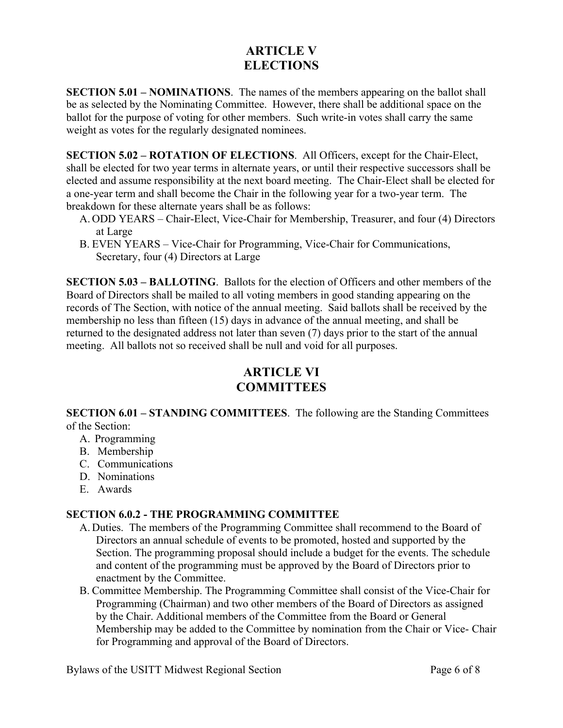# **ARTICLE V ELECTIONS**

**SECTION 5.01 – NOMINATIONS**. The names of the members appearing on the ballot shall be as selected by the Nominating Committee. However, there shall be additional space on the ballot for the purpose of voting for other members. Such write-in votes shall carry the same weight as votes for the regularly designated nominees.

**SECTION 5.02 – ROTATION OF ELECTIONS**. All Officers, except for the Chair-Elect, shall be elected for two year terms in alternate years, or until their respective successors shall be elected and assume responsibility at the next board meeting. The Chair-Elect shall be elected for a one-year term and shall become the Chair in the following year for a two-year term. The breakdown for these alternate years shall be as follows:

- A. ODD YEARS Chair-Elect, Vice-Chair for Membership, Treasurer, and four (4) Directors at Large
- B. EVEN YEARS Vice-Chair for Programming, Vice-Chair for Communications, Secretary, four (4) Directors at Large

**SECTION 5.03 – BALLOTING**. Ballots for the election of Officers and other members of the Board of Directors shall be mailed to all voting members in good standing appearing on the records of The Section, with notice of the annual meeting. Said ballots shall be received by the membership no less than fifteen (15) days in advance of the annual meeting, and shall be returned to the designated address not later than seven (7) days prior to the start of the annual meeting. All ballots not so received shall be null and void for all purposes.

# **ARTICLE VI COMMITTEES**

**SECTION 6.01 – STANDING COMMITTEES**. The following are the Standing Committees of the Section:

- A. Programming
- B. Membership
- C. Communications
- D. Nominations
- E. Awards

#### **SECTION 6.0.2 - THE PROGRAMMING COMMITTEE**

- A. Duties. The members of the Programming Committee shall recommend to the Board of Directors an annual schedule of events to be promoted, hosted and supported by the Section. The programming proposal should include a budget for the events. The schedule and content of the programming must be approved by the Board of Directors prior to enactment by the Committee.
- B. Committee Membership. The Programming Committee shall consist of the Vice-Chair for Programming (Chairman) and two other members of the Board of Directors as assigned by the Chair. Additional members of the Committee from the Board or General Membership may be added to the Committee by nomination from the Chair or Vice- Chair for Programming and approval of the Board of Directors.

Bylaws of the USITT Midwest Regional Section Page 6 of 8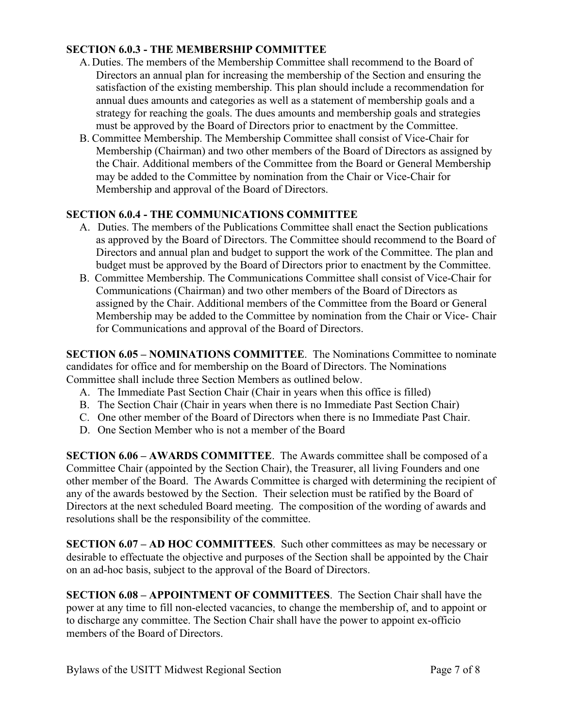#### **SECTION 6.0.3 - THE MEMBERSHIP COMMITTEE**

- A. Duties. The members of the Membership Committee shall recommend to the Board of Directors an annual plan for increasing the membership of the Section and ensuring the satisfaction of the existing membership. This plan should include a recommendation for annual dues amounts and categories as well as a statement of membership goals and a strategy for reaching the goals. The dues amounts and membership goals and strategies must be approved by the Board of Directors prior to enactment by the Committee.
- B. Committee Membership. The Membership Committee shall consist of Vice-Chair for Membership (Chairman) and two other members of the Board of Directors as assigned by the Chair. Additional members of the Committee from the Board or General Membership may be added to the Committee by nomination from the Chair or Vice-Chair for Membership and approval of the Board of Directors.

#### **SECTION 6.0.4 - THE COMMUNICATIONS COMMITTEE**

- A.Duties. The members of the Publications Committee shall enact the Section publications as approved by the Board of Directors. The Committee should recommend to the Board of Directors and annual plan and budget to support the work of the Committee. The plan and budget must be approved by the Board of Directors prior to enactment by the Committee.
- B. Committee Membership. The Communications Committee shall consist of Vice-Chair for Communications (Chairman) and two other members of the Board of Directors as assigned by the Chair. Additional members of the Committee from the Board or General Membership may be added to the Committee by nomination from the Chair or Vice- Chair for Communications and approval of the Board of Directors.

**SECTION 6.05 – NOMINATIONS COMMITTEE**. The Nominations Committee to nominate candidates for office and for membership on the Board of Directors. The Nominations Committee shall include three Section Members as outlined below.

- A. The Immediate Past Section Chair (Chair in years when this office is filled)
- B. The Section Chair (Chair in years when there is no Immediate Past Section Chair)
- C. One other member of the Board of Directors when there is no Immediate Past Chair.
- D. One Section Member who is not a member of the Board

**SECTION 6.06 – AWARDS COMMITTEE**. The Awards committee shall be composed of a Committee Chair (appointed by the Section Chair), the Treasurer, all living Founders and one other member of the Board. The Awards Committee is charged with determining the recipient of any of the awards bestowed by the Section. Their selection must be ratified by the Board of Directors at the next scheduled Board meeting. The composition of the wording of awards and resolutions shall be the responsibility of the committee.

**SECTION 6.07 – AD HOC COMMITTEES**. Such other committees as may be necessary or desirable to effectuate the objective and purposes of the Section shall be appointed by the Chair on an ad-hoc basis, subject to the approval of the Board of Directors.

**SECTION 6.08 – APPOINTMENT OF COMMITTEES**. The Section Chair shall have the power at any time to fill non-elected vacancies, to change the membership of, and to appoint or to discharge any committee. The Section Chair shall have the power to appoint ex-officio members of the Board of Directors.